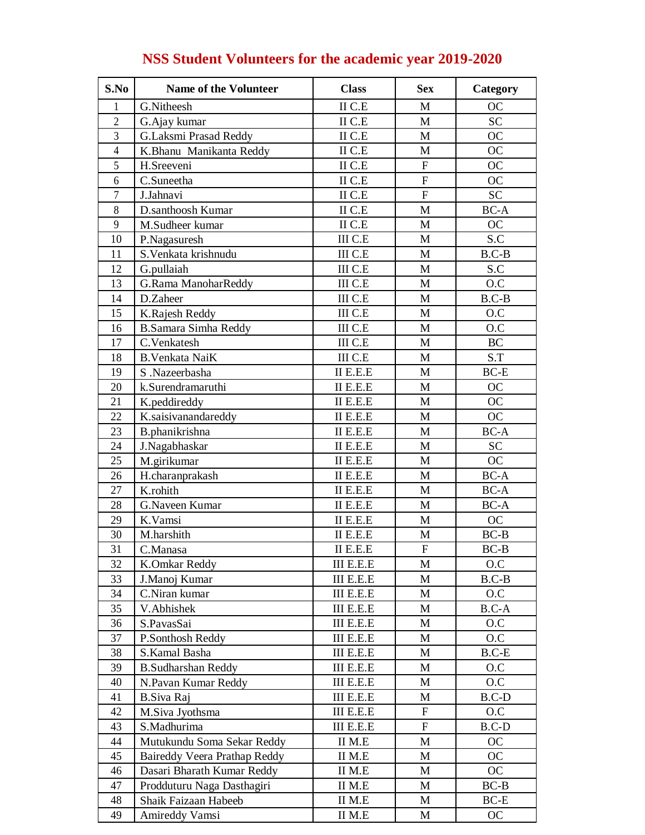| S.No           | <b>Name of the Volunteer</b> | <b>Class</b>      | <b>Sex</b>     | Category                                 |
|----------------|------------------------------|-------------------|----------------|------------------------------------------|
| 1              | G.Nitheesh                   | $\mathbf{II}$ C.E | M              | <b>OC</b>                                |
| $\overline{2}$ | G.Ajay kumar                 | $\mathbf{II}$ C.E | $\mathbf{M}$   | <b>SC</b>                                |
| 3              | G.Laksmi Prasad Reddy        | $\mathbf{II}$ C.E | $\mathbf M$    | <b>OC</b>                                |
| $\overline{4}$ | K.Bhanu Manikanta Reddy      | $\rm II$ C.E      | M              | OC                                       |
| 5              | H.Sreeveni                   | $II$ C.E          | ${\bf F}$      | <b>OC</b>                                |
| 6              | C.Suneetha                   | $\mathbf{II}$ C.E | ${\bf F}$      | OC                                       |
| $\overline{7}$ | J.Jahnavi                    | $\rm II$ C.E      | $\overline{F}$ | <b>SC</b>                                |
| 8              | D.santhoosh Kumar            | $\rm II$ C.E      | M              | $BC-A$                                   |
| 9              | M.Sudheer kumar              | $\mathbf{II}$ C.E | M              | OC                                       |
| 10             | P.Nagasuresh                 | $\rm III$ C.E     | $\mathbf{M}$   | S.C                                      |
| 11             | S.Venkata krishnudu          | III C.E           | M              | $B.C-B$                                  |
| 12             | G.pullaiah                   | III C.E           | M              | S.C                                      |
| 13             | G.Rama ManoharReddy          | $III$ $C.E$       | M              | O.C                                      |
| 14             | D.Zaheer                     | $\rm III$ C.E     | M              | $B.C-B$                                  |
| 15             | K.Rajesh Reddy               | III C.E           | M              | O.C                                      |
| 16             | <b>B.Samara Simha Reddy</b>  | $\rm III$ C.E     | $\mathbf{M}$   | O.C                                      |
| 17             | C.Venkatesh                  | $III$ $C.E$       | M              | <b>BC</b>                                |
| 18             | <b>B.Venkata NaiK</b>        | III C.E           | M              | S.T                                      |
| 19             | S.Nazeerbasha                | $II$ E.E.E        | M              | $BC-E$                                   |
| 20             | k.Surendramaruthi            | $II$ E.E.E        | M              | <b>OC</b>                                |
| 21             | K.peddireddy                 | $II$ E.E.E        | M              | OC                                       |
| 22             | K.saisivanandareddy          | $II$ E.E.E        | M              | OC                                       |
| 23             | B.phanikrishna               | $II$ E.E.E        | M              | $BC-A$                                   |
| 24             | J.Nagabhaskar                | $II$ E.E.E        | M              | <b>SC</b>                                |
| 25             | M.girikumar                  | $II$ E.E.E        | M              | <b>OC</b>                                |
| 26             | H.charanprakash              | $II$ E.E.E        | M              | $BC-A$                                   |
| 27             | K.rohith                     | $II$ E.E.E        | M              | $BC-A$                                   |
| 28             | G.Naveen Kumar               | $II$ E.E.E        | $\mathbf{M}$   | $BC-A$                                   |
| 29             | K.Vamsi                      | $II$ E.E.E        | M              | <b>OC</b>                                |
| 30             | M.harshith                   | $II$ E.E.E        | M              | $BC-B$                                   |
| 31             | C.Manasa                     | $II$ E.E.E        | ${\bf F}$      | $\mathbf{B}\mathbf{C}\text{-}\mathbf{B}$ |
| 32             | K.Omkar Reddy                | III E.E.E         | M              | 0.C                                      |
| 33             | J.Manoj Kumar                | $III$ E.E.E       | M              | $B.C-B$                                  |
| 34             | C.Niran kumar                | III E.E.E         | M              | O.C                                      |
| 35             | V.Abhishek                   | III E.E.E         | M              | B.C-A                                    |
| 36             | S.PavasSai                   | III E.E.E         | M              | O.C                                      |
| 37             | P.Sonthosh Reddy             | III E.E.E         | M              | 0.C                                      |
| 38             | S.Kamal Basha                | III E.E.E         | M              | $B.C-E$                                  |
| 39             | <b>B.Sudharshan Reddy</b>    | III E.E.E         | M              | O.C                                      |
| 40             | N.Pavan Kumar Reddy          | $III$ E.E.E       | M              | 0.C                                      |
| 41             | <b>B.Siva Raj</b>            | III E.E.E         | M              | B.C-D                                    |
| 42             | M.Siva Jyothsma              | III E.E.E         | $\mathbf F$    | 0.C                                      |
| 43             | S.Madhurima                  | III E.E.E         | $\mathbf F$    | $B.C-D$                                  |
| 44             | Mutukundu Soma Sekar Reddy   | II M.E            | M              | <b>OC</b>                                |
| 45             | Baireddy Veera Prathap Reddy | II M.E            | M              | OC                                       |
| 46             | Dasari Bharath Kumar Reddy   | II M.E            | M              | <b>OC</b>                                |
| 47             | Prodduturu Naga Dasthagiri   | II M.E            | M              | $BC-B$                                   |
| 48             | Shaik Faizaan Habeeb         | II M.E            | M              | $BC-E$                                   |
| 49             | Amireddy Vamsi               | II M.E            | M              | OC                                       |

## **NSS Student Volunteers for the academic year 2019-2020**